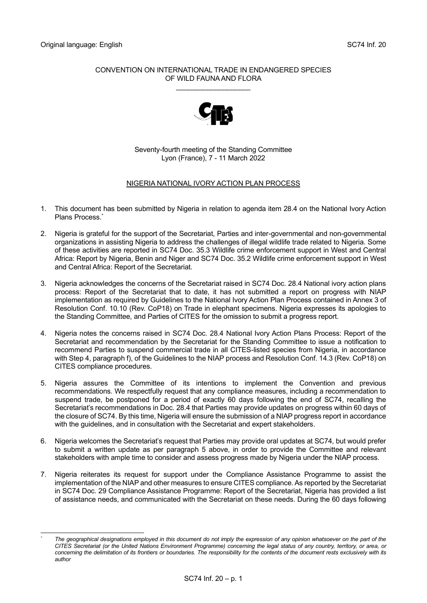## CONVENTION ON INTERNATIONAL TRADE IN ENDANGERED SPECIES OF WILD FAUNA AND FLORA

\_\_\_\_\_\_\_\_\_\_\_\_\_\_\_\_\_\_\_



Seventy-fourth meeting of the Standing Committee Lyon (France), 7 - 11 March 2022

## NIGERIA NATIONAL IVORY ACTION PLAN PROCESS

- 1. This document has been submitted by Nigeria in relation to agenda item 28.4 on the National Ivory Action Plans Process.<sup>\*</sup>
- 2. Nigeria is grateful for the support of the Secretariat, Parties and inter-governmental and non-governmental organizations in assisting Nigeria to address the challenges of illegal wildlife trade related to Nigeria. Some of these activities are reported in SC74 Doc. 35.3 Wildlife crime enforcement support in West and Central Africa: Report by Nigeria, Benin and Niger and SC74 Doc. 35.2 Wildlife crime enforcement support in West and Central Africa: Report of the Secretariat.
- 3. Nigeria acknowledges the concerns of the Secretariat raised in SC74 Doc. 28.4 National ivory action plans process: Report of the Secretariat that to date, it has not submitted a report on progress with NIAP implementation as required by Guidelines to the National Ivory Action Plan Process contained in Annex 3 of Resolution Conf. 10.10 (Rev. CoP18) on Trade in elephant specimens. Nigeria expresses its apologies to the Standing Committee, and Parties of CITES for the omission to submit a progress report.
- 4. Nigeria notes the concerns raised in SC74 Doc. 28.4 National Ivory Action Plans Process: Report of the Secretariat and recommendation by the Secretariat for the Standing Committee to issue a notification to recommend Parties to suspend commercial trade in all CITES-listed species from Nigeria, in accordance with Step 4, paragraph f), of the Guidelines to the NIAP process and Resolution Conf. 14.3 (Rev. CoP18) on CITES compliance procedures.
- 5. Nigeria assures the Committee of its intentions to implement the Convention and previous recommendations. We respectfully request that any compliance measures, including a recommendation to suspend trade, be postponed for a period of exactly 60 days following the end of SC74, recalling the Secretariat's recommendations in Doc. 28.4 that Parties may provide updates on progress within 60 days of the closure of SC74. By this time, Nigeria will ensure the submission of a NIAP progress report in accordance with the guidelines, and in consultation with the Secretariat and expert stakeholders.
- 6. Nigeria welcomes the Secretariat's request that Parties may provide oral updates at SC74, but would prefer to submit a written update as per paragraph 5 above, in order to provide the Committee and relevant stakeholders with ample time to consider and assess progress made by Nigeria under the NIAP process.
- 7. Nigeria reiterates its request for support under the Compliance Assistance Programme to assist the implementation of the NIAP and other measures to ensure CITES compliance. As reported by the Secretariat in SC74 Doc. 29 Compliance Assistance Programme: Report of the Secretariat, Nigeria has provided a list of assistance needs, and communicated with the Secretariat on these needs. During the 60 days following

The geographical designations employed in this document do not imply the expression of any opinion whatsoever on the part of the *CITES Secretariat (or the United Nations Environment Programme) concerning the legal status of any country, territory, or area, or concerning the delimitation of its frontiers or boundaries. The responsibility for the contents of the document rests exclusively with its author*